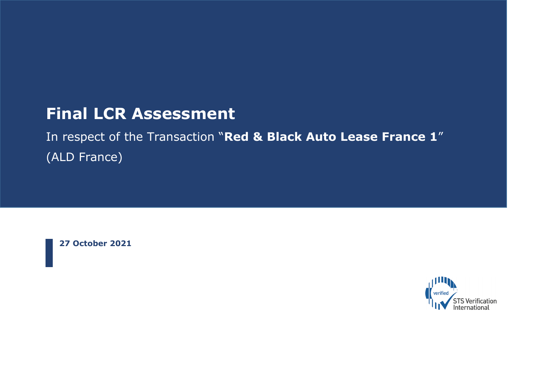# **Final LCR Assessment**

In respect of the Transaction "**Red & Black Auto Lease France 1**" (ALD France)

**27 October 2021**

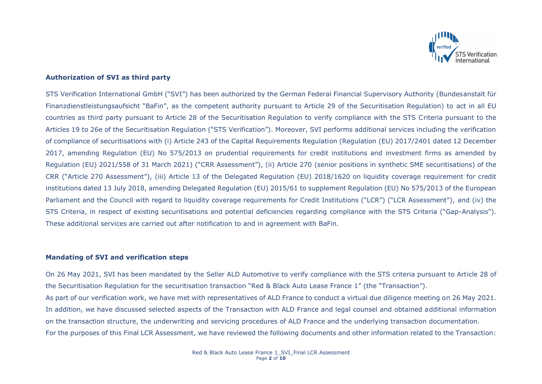

### **Authorization of SVI as third party**

STS Verification International GmbH ("SVI") has been authorized by the German Federal Financial Supervisory Authority (Bundesanstalt für Finanzdienstleistungsaufsicht "BaFin", as the competent authority pursuant to Article 29 of the Securitisation Regulation) to act in all EU countries as third party pursuant to Article 28 of the Securitisation Regulation to verify compliance with the STS Criteria pursuant to the Articles 19 to 26e of the Securitisation Regulation ("STS Verification"). Moreover, SVI performs additional services including the verification of compliance of securitisations with (i) Article 243 of the Capital Requirements Regulation (Regulation (EU) 2017/2401 dated 12 December 2017, amending Regulation (EU) No 575/2013 on prudential requirements for credit institutions and investment firms as amended by Regulation (EU) 2021/558 of 31 March 2021) ("CRR Assessment"), (ii) Article 270 (senior positions in synthetic SME securitisations) of the CRR ("Article 270 Assessment"), (iii) Article 13 of the Delegated Regulation (EU) 2018/1620 on liquidity coverage requirement for credit institutions dated 13 July 2018, amending Delegated Regulation (EU) 2015/61 to supplement Regulation (EU) No 575/2013 of the European Parliament and the Council with regard to liquidity coverage requirements for Credit Institutions ("LCR") ("LCR Assessment"), and (iv) the STS Criteria, in respect of existing securitisations and potential deficiencies regarding compliance with the STS Criteria ("Gap-Analysis"). These additional services are carried out after notification to and in agreement with BaFin.

#### **Mandating of SVI and verification steps**

On 26 May 2021, SVI has been mandated by the Seller ALD Automotive to verify compliance with the STS criteria pursuant to Article 28 of the Securitisation Regulation for the securitisation transaction "Red & Black Auto Lease France 1" (the "Transaction"). As part of our verification work, we have met with representatives of ALD France to conduct a virtual due diligence meeting on 26 May 2021. In addition, we have discussed selected aspects of the Transaction with ALD France and legal counsel and obtained additional information on the transaction structure, the underwriting and servicing procedures of ALD France and the underlying transaction documentation. For the purposes of this Final LCR Assessment, we have reviewed the following documents and other information related to the Transaction: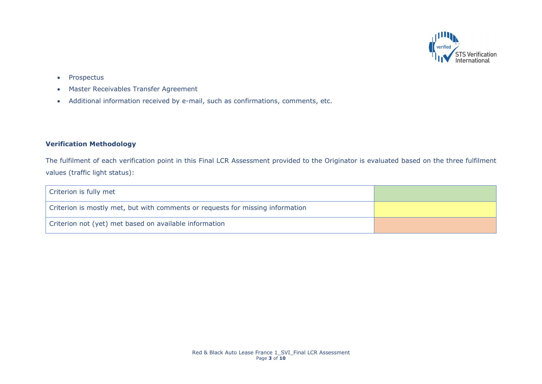

- Prospectus
- Master Receivables Transfer Agreement
- Additional information received by e-mail, such as confirmations, comments, etc.

## **Verification Methodology**

The fulfilment of each verification point in this Final LCR Assessment provided to the Originator is evaluated based on the three fulfilment values (traffic light status):

| Criterion is fully met                                                         |  |
|--------------------------------------------------------------------------------|--|
| Criterion is mostly met, but with comments or requests for missing information |  |
| Criterion not (yet) met based on available information                         |  |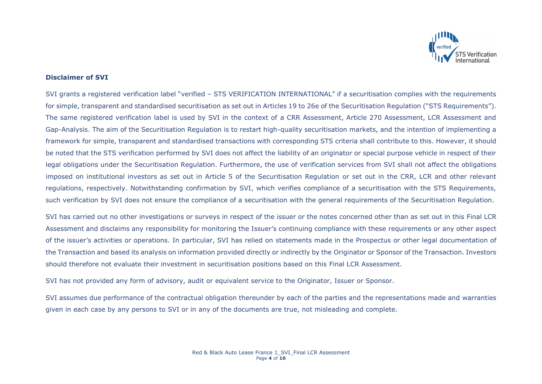

### **Disclaimer of SVI**

SVI grants a registered verification label "verified – STS VERIFICATION INTERNATIONAL" if a securitisation complies with the requirements for simple, transparent and standardised securitisation as set out in Articles 19 to 26e of the Securitisation Regulation ("STS Reguirements"). The same registered verification label is used by SVI in the context of a CRR Assessment, Article 270 Assessment, LCR Assessment and Gap-Analysis. The aim of the Securitisation Regulation is to restart high-quality securitisation markets, and the intention of implementing a framework for simple, transparent and standardised transactions with corresponding STS criteria shall contribute to this. However, it should be noted that the STS verification performed by SVI does not affect the liability of an originator or special purpose vehicle in respect of their legal obligations under the Securitisation Regulation. Furthermore, the use of verification services from SVI shall not affect the obligations imposed on institutional investors as set out in Article 5 of the Securitisation Regulation or set out in the CRR, LCR and other relevant regulations, respectively. Notwithstanding confirmation by SVI, which verifies compliance of a securitisation with the STS Requirements, such verification by SVI does not ensure the compliance of a securitisation with the general requirements of the Securitisation Regulation.

SVI has carried out no other investigations or surveys in respect of the issuer or the notes concerned other than as set out in this Final LCR Assessment and disclaims any responsibility for monitoring the Issuer's continuing compliance with these requirements or any other aspect of the issuer's activities or operations. In particular, SVI has relied on statements made in the Prospectus or other legal documentation of the Transaction and based its analysis on information provided directly or indirectly by the Originator or Sponsor of the Transaction. Investors should therefore not evaluate their investment in securitisation positions based on this Final LCR Assessment.

SVI has not provided any form of advisory, audit or equivalent service to the Originator, Issuer or Sponsor.

SVI assumes due performance of the contractual obligation thereunder by each of the parties and the representations made and warranties given in each case by any persons to SVI or in any of the documents are true, not misleading and complete.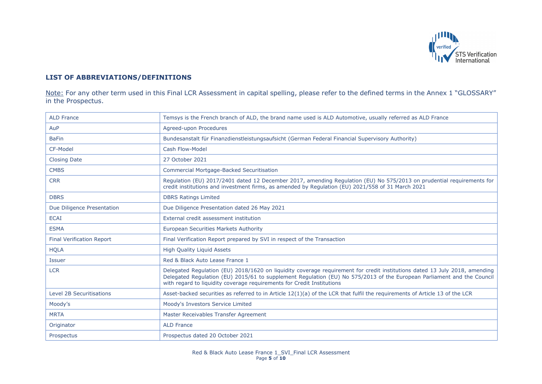

# **LIST OF ABBREVIATIONS/DEFINITIONS**

Note: For any other term used in this Final LCR Assessment in capital spelling, please refer to the defined terms in the Annex 1 "GLOSSARY" in the Prospectus.

| <b>ALD France</b>                | Temsys is the French branch of ALD, the brand name used is ALD Automotive, usually referred as ALD France                                                                                                                                                                                                                      |
|----------------------------------|--------------------------------------------------------------------------------------------------------------------------------------------------------------------------------------------------------------------------------------------------------------------------------------------------------------------------------|
| AuP                              | Agreed-upon Procedures                                                                                                                                                                                                                                                                                                         |
| <b>BaFin</b>                     | Bundesanstalt für Finanzdienstleistungsaufsicht (German Federal Financial Supervisory Authority)                                                                                                                                                                                                                               |
| CF-Model                         | Cash Flow-Model                                                                                                                                                                                                                                                                                                                |
| <b>Closing Date</b>              | 27 October 2021                                                                                                                                                                                                                                                                                                                |
| <b>CMBS</b>                      | <b>Commercial Mortgage-Backed Securitisation</b>                                                                                                                                                                                                                                                                               |
| <b>CRR</b>                       | Regulation (EU) 2017/2401 dated 12 December 2017, amending Regulation (EU) No 575/2013 on prudential requirements for<br>credit institutions and investment firms, as amended by Regulation (EU) 2021/558 of 31 March 2021                                                                                                     |
| <b>DBRS</b>                      | <b>DBRS Ratings Limited</b>                                                                                                                                                                                                                                                                                                    |
| Due Diligence Presentation       | Due Diligence Presentation dated 26 May 2021                                                                                                                                                                                                                                                                                   |
| <b>ECAI</b>                      | External credit assessment institution                                                                                                                                                                                                                                                                                         |
| <b>ESMA</b>                      | European Securities Markets Authority                                                                                                                                                                                                                                                                                          |
| <b>Final Verification Report</b> | Final Verification Report prepared by SVI in respect of the Transaction                                                                                                                                                                                                                                                        |
| <b>HQLA</b>                      | <b>High Quality Liguid Assets</b>                                                                                                                                                                                                                                                                                              |
| <b>Issuer</b>                    | Red & Black Auto Lease France 1                                                                                                                                                                                                                                                                                                |
| <b>LCR</b>                       | Delegated Regulation (EU) 2018/1620 on liquidity coverage requirement for credit institutions dated 13 July 2018, amending<br>Delegated Regulation (EU) 2015/61 to supplement Regulation (EU) No 575/2013 of the European Parliament and the Council<br>with regard to liquidity coverage requirements for Credit Institutions |
| <b>Level 2B Securitisations</b>  | Asset-backed securities as referred to in Article 12(1)(a) of the LCR that fulfil the requirements of Article 13 of the LCR                                                                                                                                                                                                    |
| Moody's                          | Moody's Investors Service Limited                                                                                                                                                                                                                                                                                              |
| <b>MRTA</b>                      | Master Receivables Transfer Agreement                                                                                                                                                                                                                                                                                          |
| Originator                       | <b>ALD France</b>                                                                                                                                                                                                                                                                                                              |
| Prospectus                       | Prospectus dated 20 October 2021                                                                                                                                                                                                                                                                                               |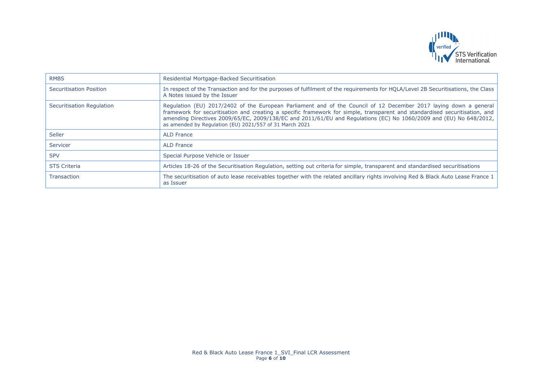

| <b>RMBS</b>               | Residential Mortgage-Backed Securitisation                                                                                                                                                                                                                                                                                                                                                                                        |
|---------------------------|-----------------------------------------------------------------------------------------------------------------------------------------------------------------------------------------------------------------------------------------------------------------------------------------------------------------------------------------------------------------------------------------------------------------------------------|
| Securitisation Position   | In respect of the Transaction and for the purposes of fulfilment of the requirements for HOLA/Level 2B Securitisations, the Class<br>A Notes issued by the Issuer                                                                                                                                                                                                                                                                 |
| Securitisation Regulation | Regulation (EU) 2017/2402 of the European Parliament and of the Council of 12 December 2017 laying down a general<br>framework for securitisation and creating a specific framework for simple, transparent and standardised securitisation, and<br>amending Directives 2009/65/EC, 2009/138/EC and 2011/61/EU and Regulations (EC) No 1060/2009 and (EU) No 648/2012,<br>as amended by Regulation (EU) 2021/557 of 31 March 2021 |
| Seller                    | <b>ALD France</b>                                                                                                                                                                                                                                                                                                                                                                                                                 |
| Servicer                  | <b>ALD France</b>                                                                                                                                                                                                                                                                                                                                                                                                                 |
| <b>SPV</b>                | Special Purpose Vehicle or Issuer                                                                                                                                                                                                                                                                                                                                                                                                 |
| <b>STS Criteria</b>       | Articles 18-26 of the Securitisation Regulation, setting out criteria for simple, transparent and standardised securitisations                                                                                                                                                                                                                                                                                                    |
| Transaction               | The securitisation of auto lease receivables together with the related ancillary rights involving Red & Black Auto Lease France 1<br>as Issuer                                                                                                                                                                                                                                                                                    |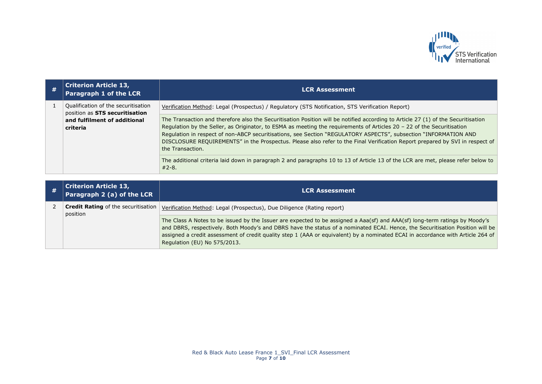

| # | <b>Criterion Article 13,</b><br>Paragraph 1 of the LCR                | <b>LCR Assessment</b>                                                                                                                                                                                                                                                                                                                                                                                                                                                                                                               |
|---|-----------------------------------------------------------------------|-------------------------------------------------------------------------------------------------------------------------------------------------------------------------------------------------------------------------------------------------------------------------------------------------------------------------------------------------------------------------------------------------------------------------------------------------------------------------------------------------------------------------------------|
|   | Qualification of the securitisation<br>position as STS securitisation | Verification Method: Legal (Prospectus) / Regulatory (STS Notification, STS Verification Report)                                                                                                                                                                                                                                                                                                                                                                                                                                    |
|   | and fulfilment of additional<br>criteria                              | The Transaction and therefore also the Securitisation Position will be notified according to Article 27 (1) of the Securitisation<br>Regulation by the Seller, as Originator, to ESMA as meeting the requirements of Articles 20 - 22 of the Securitisation<br>Regulation in respect of non-ABCP securitisations, see Section "REGULATORY ASPECTS", subsection "INFORMATION AND<br>DISCLOSURE REQUIREMENTS" in the Prospectus. Please also refer to the Final Verification Report prepared by SVI in respect of<br>the Transaction. |
|   |                                                                       | The additional criteria laid down in paragraph 2 and paragraphs 10 to 13 of Article 13 of the LCR are met, please refer below to<br>$#2 - 8.$                                                                                                                                                                                                                                                                                                                                                                                       |

| # | <b>Criterion Article 13,</b><br>Paragraph 2 (a) of the LCR | <b>LCR Assessment</b>                                                                                                                                                                                                                                                                                                                                                                                                           |
|---|------------------------------------------------------------|---------------------------------------------------------------------------------------------------------------------------------------------------------------------------------------------------------------------------------------------------------------------------------------------------------------------------------------------------------------------------------------------------------------------------------|
|   | <b>Credit Rating</b> of the securitisation<br>position     | Verification Method: Legal (Prospectus), Due Diligence (Rating report)                                                                                                                                                                                                                                                                                                                                                          |
|   |                                                            | The Class A Notes to be issued by the Issuer are expected to be assigned a Aaa(sf) and AAA(sf) long-term ratings by Moody's<br>and DBRS, respectively. Both Moody's and DBRS have the status of a nominated ECAI. Hence, the Securitisation Position will be<br>assigned a credit assessment of credit quality step 1 (AAA or equivalent) by a nominated ECAI in accordance with Article 264 of<br>Regulation (EU) No 575/2013. |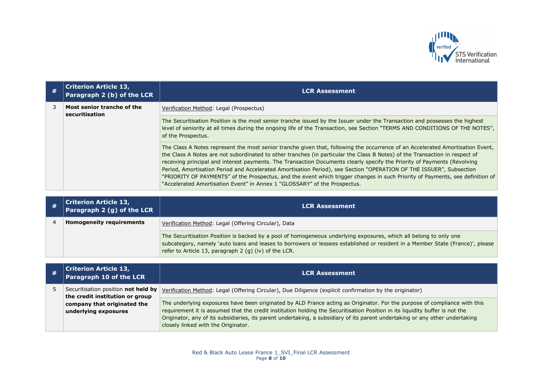

|  | <b>Criterion Article 13,</b><br>Paragraph 2 (b) of the LCR | <b>LCR Assessment</b>                                                                                                                                                                                                                                                                                                                                                                                                                                                                                                                                                                                                                                                                                                          |
|--|------------------------------------------------------------|--------------------------------------------------------------------------------------------------------------------------------------------------------------------------------------------------------------------------------------------------------------------------------------------------------------------------------------------------------------------------------------------------------------------------------------------------------------------------------------------------------------------------------------------------------------------------------------------------------------------------------------------------------------------------------------------------------------------------------|
|  | Most senior tranche of the<br>securitisation               | Verification Method: Legal (Prospectus)                                                                                                                                                                                                                                                                                                                                                                                                                                                                                                                                                                                                                                                                                        |
|  |                                                            | The Securitisation Position is the most senior tranche issued by the Issuer under the Transaction and possesses the highest<br>level of seniority at all times during the ongoing life of the Transaction, see Section "TERMS AND CONDITIONS OF THE NOTES",<br>of the Prospectus.                                                                                                                                                                                                                                                                                                                                                                                                                                              |
|  |                                                            | The Class A Notes represent the most senior tranche given that, following the occurrence of an Accelerated Amortisation Event,<br>the Class A Notes are not subordinated to other tranches (in particular the Class B Notes) of the Transaction in respect of<br>receiving principal and interest payments. The Transaction Documents clearly specify the Priority of Payments (Revolving<br>Period, Amortisation Period and Accelerated Amortisation Period), see Section "OPERATION OF THE ISSUER", Subsection<br>"PRIORITY OF PAYMENTS" of the Prospectus, and the event which trigger changes in such Priority of Payments, see definition of<br>"Accelerated Amortisation Event" in Annex 1 "GLOSSARY" of the Prospectus. |

| <b>Criterion Article 13,</b><br>Paragraph 2 (g) of the LCR | <b>LCR Assessment</b>                                                                                                                                                                                                                                                                                        |
|------------------------------------------------------------|--------------------------------------------------------------------------------------------------------------------------------------------------------------------------------------------------------------------------------------------------------------------------------------------------------------|
| <b>Homogeneity requirements</b>                            | Verification Method: Legal (Offering Circular), Data                                                                                                                                                                                                                                                         |
|                                                            | The Securitisation Position is backed by a pool of homogeneous underlying exposures, which all belong to only one<br>subcategory, namely 'auto loans and leases to borrowers or lessees established or resident in a Member State (France)', please<br>refer to Article 13, paragraph 2 (g) (iv) of the LCR. |

| # | <b>Criterion Article 13,</b><br>Paragraph 10 of the LCR                | <b>LCR Assessment</b>                                                                                                                                                                                                                                                                                                                                                                                                            |
|---|------------------------------------------------------------------------|----------------------------------------------------------------------------------------------------------------------------------------------------------------------------------------------------------------------------------------------------------------------------------------------------------------------------------------------------------------------------------------------------------------------------------|
|   | Securitisation position not held by<br>the credit institution or group | Verification Method: Legal (Offering Circular), Due Diligence (explicit confirmation by the originator)                                                                                                                                                                                                                                                                                                                          |
|   | company that originated the<br>underlying exposures                    | The underlying exposures have been originated by ALD France acting as Originator. For the purpose of compliance with this<br>requirement it is assumed that the credit institution holding the Securitisation Position in its liquidity buffer is not the<br>Originator, any of its subsidiaries, its parent undertaking, a subsidiary of its parent undertaking or any other undertaking<br>closely linked with the Originator. |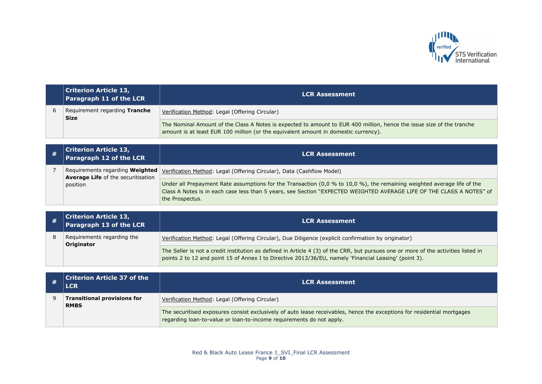

| <b>Criterion Article 13,</b><br>Paragraph 11 of the LCR | <b>LCR Assessment</b>                                                                                                                                                                                        |
|---------------------------------------------------------|--------------------------------------------------------------------------------------------------------------------------------------------------------------------------------------------------------------|
| Requirement regarding Tranche<br><b>Size</b>            | Verification Method: Legal (Offering Circular)                                                                                                                                                               |
|                                                         | The Nominal Amount of the Class A Notes is expected to amount to EUR 400 million, hence the issue size of the tranche<br>amount is at least EUR 100 million (or the equivalent amount in domestic currency). |

| <b>Criterion Article 13,</b><br>Paragraph 12 of the LCR | <b>LCR Assessment</b>                                                                                                                                                                                                                                               |
|---------------------------------------------------------|---------------------------------------------------------------------------------------------------------------------------------------------------------------------------------------------------------------------------------------------------------------------|
| <b>Average Life of the securitisation</b>               | Requirements regarding Weighted   Verification Method: Legal (Offering Circular), Data (Cashflow Model)                                                                                                                                                             |
| position                                                | Under all Prepayment Rate assumptions for the Transaction (0,0 % to 10,0 %), the remaining weighted average life of the<br>Class A Notes is in each case less than 5 years, see Section "EXPECTED WEIGHTED AVERAGE LIFE OF THE CLASS A NOTES" of<br>the Prospectus. |

|  | <b>Criterion Article 13,<br/>Paragraph 13 of the LCR</b> | <b>LCR Assessment</b>                                                                                                                                                                                                                       |
|--|----------------------------------------------------------|---------------------------------------------------------------------------------------------------------------------------------------------------------------------------------------------------------------------------------------------|
|  | Requirements regarding the<br>Originator                 | Verification Method: Legal (Offering Circular), Due Diligence (explicit confirmation by originator)                                                                                                                                         |
|  |                                                          | The Seller is not a credit institution as defined in Article 4 (3) of the CRR, but pursues one or more of the activities listed in<br>points 2 to 12 and point 15 of Annex I to Directive 2013/36/EU, namely 'Financial Leasing' (point 3). |

| $\mid$ Criterion Article 37 of the<br><b>LCR</b>  | <b>LCR Assessment</b>                                                                                                                                                                           |
|---------------------------------------------------|-------------------------------------------------------------------------------------------------------------------------------------------------------------------------------------------------|
| <b>Transitional provisions for</b><br><b>RMBS</b> | Verification Method: Legal (Offering Circular)                                                                                                                                                  |
|                                                   | The securitised exposures consist exclusively of auto lease receivables, hence the exceptions for residential mortgages<br>regarding loan-to-value or loan-to-income requirements do not apply. |